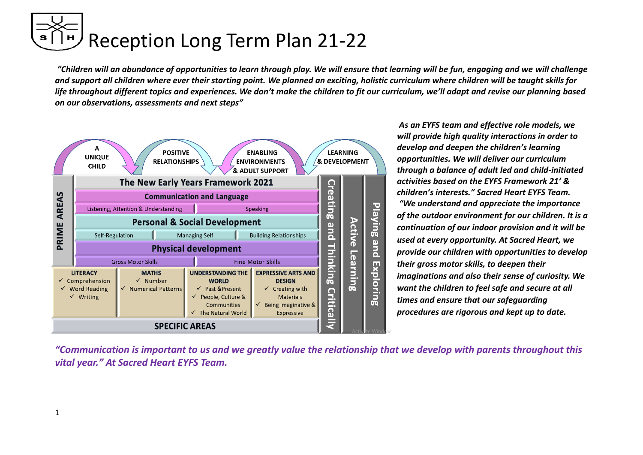*"Children will an abundance of opportunities to learn through play. We will ensure that learning will be fun, engaging and we will challenge and support all children where ever their starting point. We planned an exciting, holistic curriculum where children will be taught skills for life throughout different topics and experiences. We don't make the children to fit our curriculum, we'll adapt and revise our planning based on our observations, assessments and next steps"*



*As an EYFS team and effective role models, we will provide high quality interactions in order to develop and deepen the children's learning opportunities. We will deliver our curriculum through a balance of adult led and child-initiated activities based on the EYFS Framework 21' & children's interests." Sacred Heart EYFS Team.*

*"We understand and appreciate the importance of the outdoor environment for our children. It is a continuation of our indoor provision and it will be used at every opportunity. At Sacred Heart, we provide our children with opportunities to develop their gross motor skills, to deepen their imaginations and also their sense of curiosity. We want the children to feel safe and secure at all times and ensure that our safeguarding procedures are rigorous and kept up to date.*

*"Communication is important to us and we greatly value the relationship that we develop with parents throughout this vital year." At Sacred Heart EYFS Team.*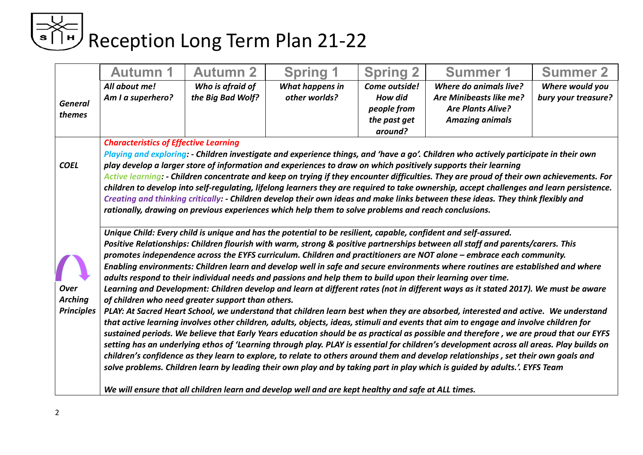|                          | <b>Autumn 1</b>                                                                                                                                                                                                                          | <b>Autumn 2</b>                                   | <b>Spring</b>                                                                                                   | <b>Spring 2</b> | <b>Summer 1</b>                                                                                                                                                                                                                                                               | <b>Summer 2</b>     |  |  |  |  |
|--------------------------|------------------------------------------------------------------------------------------------------------------------------------------------------------------------------------------------------------------------------------------|---------------------------------------------------|-----------------------------------------------------------------------------------------------------------------|-----------------|-------------------------------------------------------------------------------------------------------------------------------------------------------------------------------------------------------------------------------------------------------------------------------|---------------------|--|--|--|--|
|                          | All about me!                                                                                                                                                                                                                            | Who is afraid of                                  | What happens in                                                                                                 | Come outside!   | Where do animals live?                                                                                                                                                                                                                                                        | Where would you     |  |  |  |  |
|                          | Am I a superhero?                                                                                                                                                                                                                        | the Big Bad Wolf?                                 | other worlds?                                                                                                   | <b>How did</b>  | Are Minibeasts like me?                                                                                                                                                                                                                                                       | bury your treasure? |  |  |  |  |
| <b>General</b><br>themes |                                                                                                                                                                                                                                          |                                                   |                                                                                                                 | people from     | <b>Are Plants Alive?</b>                                                                                                                                                                                                                                                      |                     |  |  |  |  |
|                          |                                                                                                                                                                                                                                          |                                                   |                                                                                                                 | the past get    | <b>Amazing animals</b>                                                                                                                                                                                                                                                        |                     |  |  |  |  |
|                          |                                                                                                                                                                                                                                          |                                                   |                                                                                                                 | around?         |                                                                                                                                                                                                                                                                               |                     |  |  |  |  |
|                          | <b>Characteristics of Effective Learning</b>                                                                                                                                                                                             |                                                   |                                                                                                                 |                 |                                                                                                                                                                                                                                                                               |                     |  |  |  |  |
|                          |                                                                                                                                                                                                                                          |                                                   |                                                                                                                 |                 | Playing and exploring: - Children investigate and experience things, and 'have a go'. Children who actively participate in their own                                                                                                                                          |                     |  |  |  |  |
| <b>COEL</b>              |                                                                                                                                                                                                                                          |                                                   |                                                                                                                 |                 | play develop a larger store of information and experiences to draw on which positively supports their learning                                                                                                                                                                |                     |  |  |  |  |
|                          |                                                                                                                                                                                                                                          |                                                   |                                                                                                                 |                 | Active learning: - Children concentrate and keep on trying if they encounter difficulties. They are proud of their own achievements. For                                                                                                                                      |                     |  |  |  |  |
|                          |                                                                                                                                                                                                                                          |                                                   |                                                                                                                 |                 | children to develop into self-regulating, lifelong learners they are required to take ownership, accept challenges and learn persistence.                                                                                                                                     |                     |  |  |  |  |
|                          | Creating and thinking critically: - Children develop their own ideas and make links between these ideas. They think flexibly and<br>rationally, drawing on previous experiences which help them to solve problems and reach conclusions. |                                                   |                                                                                                                 |                 |                                                                                                                                                                                                                                                                               |                     |  |  |  |  |
|                          |                                                                                                                                                                                                                                          |                                                   |                                                                                                                 |                 |                                                                                                                                                                                                                                                                               |                     |  |  |  |  |
|                          |                                                                                                                                                                                                                                          |                                                   | Unique Child: Every child is unique and has the potential to be resilient, capable, confident and self-assured. |                 |                                                                                                                                                                                                                                                                               |                     |  |  |  |  |
|                          |                                                                                                                                                                                                                                          |                                                   |                                                                                                                 |                 | Positive Relationships: Children flourish with warm, strong & positive partnerships between all staff and parents/carers. This                                                                                                                                                |                     |  |  |  |  |
|                          |                                                                                                                                                                                                                                          |                                                   |                                                                                                                 |                 | promotes independence across the EYFS curriculum. Children and practitioners are NOT alone - embrace each community.                                                                                                                                                          |                     |  |  |  |  |
|                          |                                                                                                                                                                                                                                          |                                                   |                                                                                                                 |                 | Enabling environments: Children learn and develop well in safe and secure environments where routines are established and where                                                                                                                                               |                     |  |  |  |  |
|                          |                                                                                                                                                                                                                                          |                                                   | adults respond to their individual needs and passions and help them to build upon their learning over time.     |                 |                                                                                                                                                                                                                                                                               |                     |  |  |  |  |
| <b>Over</b>              |                                                                                                                                                                                                                                          |                                                   |                                                                                                                 |                 | Learning and Development: Children develop and learn at different rates (not in different ways as it stated 2017). We must be aware                                                                                                                                           |                     |  |  |  |  |
| <b>Arching</b>           |                                                                                                                                                                                                                                          | of children who need greater support than others. |                                                                                                                 |                 |                                                                                                                                                                                                                                                                               |                     |  |  |  |  |
| <b>Principles</b>        |                                                                                                                                                                                                                                          |                                                   |                                                                                                                 |                 | PLAY: At Sacred Heart School, we understand that children learn best when they are absorbed, interested and active. We understand                                                                                                                                             |                     |  |  |  |  |
|                          |                                                                                                                                                                                                                                          |                                                   |                                                                                                                 |                 | that active learning involves other children, adults, objects, ideas, stimuli and events that aim to engage and involve children for<br>sustained periods. We believe that Early Years education should be as practical as possible and therefore, we are proud that our EYFS |                     |  |  |  |  |
|                          |                                                                                                                                                                                                                                          |                                                   |                                                                                                                 |                 | setting has an underlying ethos of 'Learning through play. PLAY is essential for children's development across all areas. Play builds on                                                                                                                                      |                     |  |  |  |  |
|                          |                                                                                                                                                                                                                                          |                                                   |                                                                                                                 |                 | children's confidence as they learn to explore, to relate to others around them and develop relationships, set their own goals and                                                                                                                                            |                     |  |  |  |  |
|                          |                                                                                                                                                                                                                                          |                                                   |                                                                                                                 |                 | solve problems. Children learn by leading their own play and by taking part in play which is guided by adults.'. EYFS Team                                                                                                                                                    |                     |  |  |  |  |
|                          |                                                                                                                                                                                                                                          |                                                   | We will ensure that all children learn and develop well and are kept healthy and safe at ALL times.             |                 |                                                                                                                                                                                                                                                                               |                     |  |  |  |  |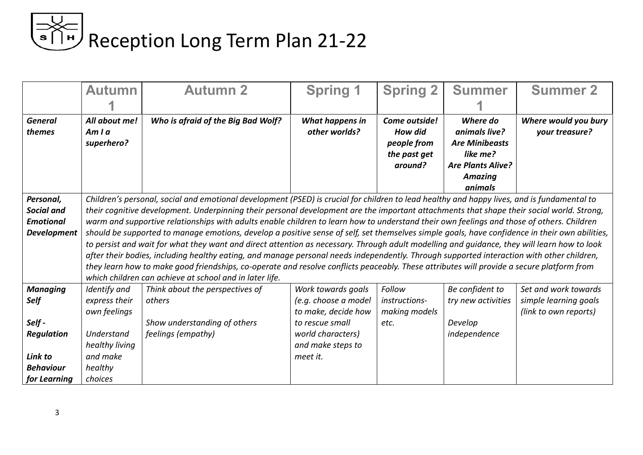|                                       | <b>Autumn</b>                       | <b>Autumn 2</b>                                                                                                                                                                                                                                                                        | <b>Spring 1</b>                         | <b>Spring 2</b>                                                    | <b>Summer</b>                                                                                                           | <b>Summer 2</b>                        |
|---------------------------------------|-------------------------------------|----------------------------------------------------------------------------------------------------------------------------------------------------------------------------------------------------------------------------------------------------------------------------------------|-----------------------------------------|--------------------------------------------------------------------|-------------------------------------------------------------------------------------------------------------------------|----------------------------------------|
|                                       |                                     |                                                                                                                                                                                                                                                                                        |                                         |                                                                    |                                                                                                                         |                                        |
| <b>General</b><br>themes              | All about me!<br>Amla<br>superhero? | Who is afraid of the Big Bad Wolf?                                                                                                                                                                                                                                                     | <b>What happens in</b><br>other worlds? | Come outside!<br>How did<br>people from<br>the past get<br>around? | Where do<br>animals live?<br><b>Are Minibeasts</b><br>like me?<br><b>Are Plants Alive?</b><br><b>Amazing</b><br>animals | Where would you bury<br>your treasure? |
| Personal,                             |                                     | Children's personal, social and emotional development (PSED) is crucial for children to lead healthy and happy lives, and is fundamental to                                                                                                                                            |                                         |                                                                    |                                                                                                                         |                                        |
| <b>Social and</b><br><b>Emotional</b> |                                     | their cognitive development. Underpinning their personal development are the important attachments that shape their social world. Strong,<br>warm and supportive relationships with adults enable children to learn how to understand their own feelings and those of others. Children |                                         |                                                                    |                                                                                                                         |                                        |
| <b>Development</b>                    |                                     | should be supported to manage emotions, develop a positive sense of self, set themselves simple goals, have confidence in their own abilities,                                                                                                                                         |                                         |                                                                    |                                                                                                                         |                                        |
|                                       |                                     | to persist and wait for what they want and direct attention as necessary. Through adult modelling and guidance, they will learn how to look                                                                                                                                            |                                         |                                                                    |                                                                                                                         |                                        |
|                                       |                                     | after their bodies, including healthy eating, and manage personal needs independently. Through supported interaction with other children,                                                                                                                                              |                                         |                                                                    |                                                                                                                         |                                        |
|                                       |                                     | they learn how to make good friendships, co-operate and resolve conflicts peaceably. These attributes will provide a secure platform from                                                                                                                                              |                                         |                                                                    |                                                                                                                         |                                        |
|                                       |                                     | which children can achieve at school and in later life.                                                                                                                                                                                                                                |                                         |                                                                    |                                                                                                                         |                                        |
| <b>Managing</b>                       | Identify and                        | Think about the perspectives of                                                                                                                                                                                                                                                        | Work towards goals                      | Follow                                                             | Be confident to                                                                                                         | Set and work towards                   |
| Self                                  | express their                       | others                                                                                                                                                                                                                                                                                 | (e.g. choose a model                    | instructions-                                                      | try new activities                                                                                                      | simple learning goals                  |
|                                       | own feelings                        |                                                                                                                                                                                                                                                                                        | to make, decide how                     | making models                                                      |                                                                                                                         | (link to own reports)                  |
| Self-                                 |                                     | Show understanding of others                                                                                                                                                                                                                                                           | to rescue small                         | etc.                                                               | Develop                                                                                                                 |                                        |
| <b>Regulation</b>                     | Understand                          | feelings (empathy)                                                                                                                                                                                                                                                                     | world characters)                       |                                                                    | independence                                                                                                            |                                        |
|                                       | healthy living                      |                                                                                                                                                                                                                                                                                        | and make steps to                       |                                                                    |                                                                                                                         |                                        |
| Link to                               | and make                            |                                                                                                                                                                                                                                                                                        | meet it.                                |                                                                    |                                                                                                                         |                                        |
| <b>Behaviour</b>                      | healthy                             |                                                                                                                                                                                                                                                                                        |                                         |                                                                    |                                                                                                                         |                                        |
| for Learning                          | choices                             |                                                                                                                                                                                                                                                                                        |                                         |                                                                    |                                                                                                                         |                                        |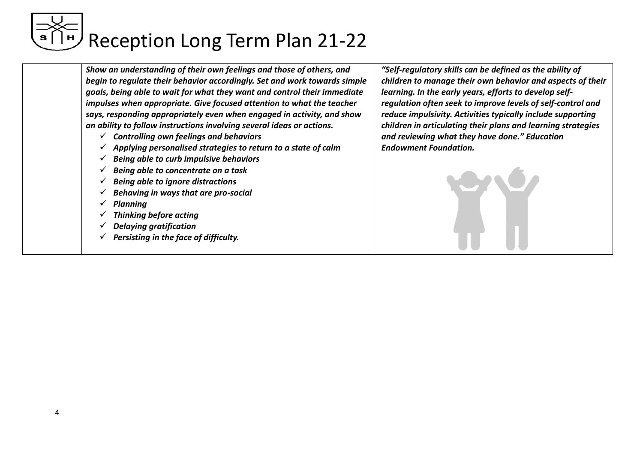*Show an understanding of their own feelings and those of others, and begin to regulate their behavior accordingly. Set and work towards simple goals, being able to wait for what they want and control their immediate impulses when appropriate. Give focused attention to what the teacher says, responding appropriately even when engaged in activity, and show an ability to follow instructions involving several ideas or actions.*

- ✓ *Controlling own feelings and behaviors*
- ✓ *Applying personalised strategies to return to a state of calm*
- ✓ *Being able to curb impulsive behaviors*
- ✓ *Being able to concentrate on a task*
- ✓ *Being able to ignore distractions*
- ✓ *Behaving in ways that are pro-social*
- ✓ *Planning*
- ✓ *Thinking before acting*
- ✓ *Delaying gratification*
- ✓ *Persisting in the face of difficulty.*

*"Self-regulatory skills can be defined as the ability of children to manage their own behavior and aspects of their learning. In the early years, efforts to develop selfregulation often seek to improve levels of self-control and reduce impulsivity. Activities typically include supporting children in articulating their plans and learning strategies and reviewing what they have done." Education Endowment Foundation.*

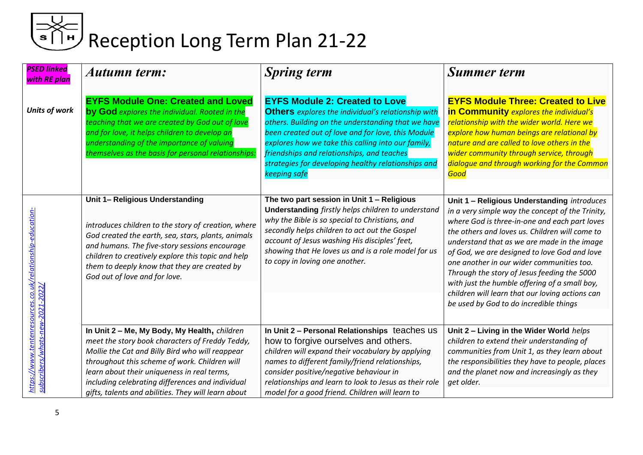| <b>PSED linked</b><br>with RE plan                                         | Autumn term:                                                                                                                                                                                                                                                                                                                                                  | <b>Spring term</b>                                                                                                                                                                                                                                                                                                                                                                        | <b>Summer term</b>                                                                                                                                                                                                                                                                                                                                                                                                                                                                                                                          |
|----------------------------------------------------------------------------|---------------------------------------------------------------------------------------------------------------------------------------------------------------------------------------------------------------------------------------------------------------------------------------------------------------------------------------------------------------|-------------------------------------------------------------------------------------------------------------------------------------------------------------------------------------------------------------------------------------------------------------------------------------------------------------------------------------------------------------------------------------------|---------------------------------------------------------------------------------------------------------------------------------------------------------------------------------------------------------------------------------------------------------------------------------------------------------------------------------------------------------------------------------------------------------------------------------------------------------------------------------------------------------------------------------------------|
| <b>Units of work</b>                                                       | <b>EYFS Module One: Created and Loved</b><br>by God explores the individual. Rooted in the<br>teaching that we are created by God out of love<br>and for love, it helps children to develop an<br>understanding of the importance of valuing<br>themselves as the basis for personal relationships:                                                           | <b>EYFS Module 2: Created to Love</b><br><b>Others</b> explores the individual's relationship with<br>others. Building on the understanding that we have<br>been created out of love and for love, this Module<br>explores how we take this calling into our family,<br>friendships and relationships, and teaches<br>strategies for developing healthy relationships and<br>keeping safe | <b>EYFS Module Three: Created to Live</b><br>in Community explores the individual's<br>relationship with the wider world. Here we<br>explore how human beings are relational by<br>nature and are called to love others in the<br>wider community through service, through<br>dialogue and through working for the Common<br>Good                                                                                                                                                                                                           |
| <u>https://www.tentenresources.co.uk/relationship-educatior</u><br>$-2022$ | Unit 1- Religious Understanding<br>introduces children to the story of creation, where<br>God created the earth, sea, stars, plants, animals<br>and humans. The five-story sessions encourage<br>children to creatively explore this topic and help<br>them to deeply know that they are created by<br>God out of love and for love.                          | The two part session in Unit 1 - Religious<br><b>Understanding</b> firstly helps children to understand<br>why the Bible is so special to Christians, and<br>secondly helps children to act out the Gospel<br>account of Jesus washing His disciples' feet,<br>showing that He loves us and is a role model for us<br>to copy in loving one another.                                      | Unit 1 - Religious Understanding introduces<br>in a very simple way the concept of the Trinity,<br>where God is three-in-one and each part loves<br>the others and loves us. Children will come to<br>understand that as we are made in the image<br>of God, we are designed to love God and love<br>one another in our wider communities too.<br>Through the story of Jesus feeding the 5000<br>with just the humble offering of a small boy,<br>children will learn that our loving actions can<br>be used by God to do incredible things |
| ew-2021<br>subscribers/whats-n                                             | In Unit 2 - Me, My Body, My Health, children<br>meet the story book characters of Freddy Teddy,<br>Mollie the Cat and Billy Bird who will reappear<br>throughout this scheme of work. Children will<br>learn about their uniqueness in real terms,<br>including celebrating differences and individual<br>gifts, talents and abilities. They will learn about | In Unit 2 - Personal Relationships teaches us<br>how to forgive ourselves and others.<br>children will expand their vocabulary by applying<br>names to different family/friend relationships,<br>consider positive/negative behaviour in<br>relationships and learn to look to Jesus as their role<br>model for a good friend. Children will learn to                                     | Unit 2 - Living in the Wider World helps<br>children to extend their understanding of<br>communities from Unit 1, as they learn about<br>the responsibilities they have to people, places<br>and the planet now and increasingly as they<br>get older.                                                                                                                                                                                                                                                                                      |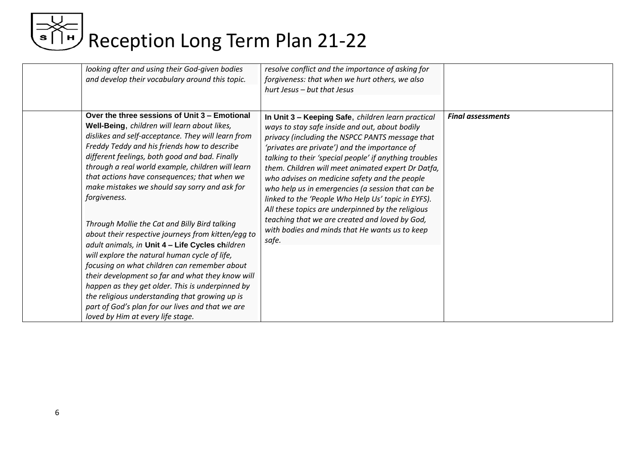| looking after and using their God-given bodies<br>and develop their vocabulary around this topic.                                                                                                                                                                                                                                                                                                                                                                                                                                  | resolve conflict and the importance of asking for<br>forgiveness: that when we hurt others, we also<br>hurt Jesus - but that Jesus                                                                                                                                                                                                                                                                                                                                                                                                                                                                                                                     |                          |
|------------------------------------------------------------------------------------------------------------------------------------------------------------------------------------------------------------------------------------------------------------------------------------------------------------------------------------------------------------------------------------------------------------------------------------------------------------------------------------------------------------------------------------|--------------------------------------------------------------------------------------------------------------------------------------------------------------------------------------------------------------------------------------------------------------------------------------------------------------------------------------------------------------------------------------------------------------------------------------------------------------------------------------------------------------------------------------------------------------------------------------------------------------------------------------------------------|--------------------------|
| Over the three sessions of Unit 3 – Emotional<br>Well-Being, children will learn about likes,<br>dislikes and self-acceptance. They will learn from<br>Freddy Teddy and his friends how to describe<br>different feelings, both good and bad. Finally<br>through a real world example, children will learn<br>that actions have consequences; that when we<br>make mistakes we should say sorry and ask for<br>forgiveness.<br>Through Mollie the Cat and Billy Bird talking<br>about their respective journeys from kitten/egg to | In Unit 3 - Keeping Safe, children learn practical<br>ways to stay safe inside and out, about bodily<br>privacy (including the NSPCC PANTS message that<br>'privates are private') and the importance of<br>talking to their 'special people' if anything troubles<br>them. Children will meet animated expert Dr Datfa,<br>who advises on medicine safety and the people<br>who help us in emergencies (a session that can be<br>linked to the 'People Who Help Us' topic in EYFS).<br>All these topics are underpinned by the religious<br>teaching that we are created and loved by God,<br>with bodies and minds that He wants us to keep<br>safe. | <b>Final assessments</b> |
| adult animals, in Unit 4 - Life Cycles children<br>will explore the natural human cycle of life,<br>focusing on what children can remember about<br>their development so far and what they know will<br>happen as they get older. This is underpinned by<br>the religious understanding that growing up is<br>part of God's plan for our lives and that we are<br>loved by Him at every life stage.                                                                                                                                |                                                                                                                                                                                                                                                                                                                                                                                                                                                                                                                                                                                                                                                        |                          |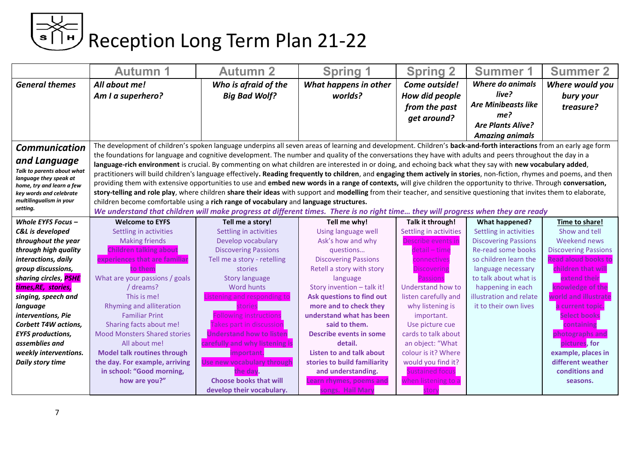| <b>Spring 1</b><br><b>Spring 2</b><br><b>General themes</b><br>Who is afraid of the<br>What happens in other<br><b>Where do animals</b><br>All about me!<br>Come outside!<br>live?<br>Am I a superhero?<br><b>Big Bad Wolf?</b><br>worlds?<br>How did people | Where would you<br>bury your        |
|--------------------------------------------------------------------------------------------------------------------------------------------------------------------------------------------------------------------------------------------------------------|-------------------------------------|
|                                                                                                                                                                                                                                                              |                                     |
|                                                                                                                                                                                                                                                              |                                     |
| <b>Are Minibeasts like</b><br>treasure?<br>from the past                                                                                                                                                                                                     |                                     |
| me?                                                                                                                                                                                                                                                          |                                     |
| get around?<br><b>Are Plants Alive?</b>                                                                                                                                                                                                                      |                                     |
| <b>Amazing animals</b>                                                                                                                                                                                                                                       |                                     |
| The development of children's spoken language underpins all seven areas of learning and development. Children's back-and-forth interactions from an early age form<br>Communication                                                                          |                                     |
| the foundations for language and cognitive development. The number and quality of the conversations they have with adults and peers throughout the day in a                                                                                                  |                                     |
| and Language<br>language-rich environment is crucial. By commenting on what children are interested in or doing, and echoing back what they say with new vocabulary added,                                                                                   |                                     |
| Talk to parents about what<br>practitioners will build children's language effectively. Reading frequently to children, and engaging them actively in stories, non-fiction, rhymes and poems, and then<br>language they speak at                             |                                     |
| providing them with extensive opportunities to use and embed new words in a range of contexts, will give children the opportunity to thrive. Through conversation,<br>home, try and learn a few                                                              |                                     |
| story-telling and role play, where children share their ideas with support and modelling from their teacher, and sensitive questioning that invites them to elaborate,<br>key words and celebrate                                                            |                                     |
| multilingualism in your<br>children become comfortable using a rich range of vocabulary and language structures.                                                                                                                                             |                                     |
| setting.<br>We understand that children will make progress at different times. There is no right time they will progress when they are ready                                                                                                                 |                                     |
| Whole EYFS Focus $-$<br>Tell me why!<br>Talk it through!<br><b>What happened?</b><br><b>Welcome to EYFS</b><br>Tell me a story!                                                                                                                              | Time to share!                      |
| Settling in activities<br>Settling in activities<br>Using language well<br>Settling in activities<br>Settling in activities<br><b>C&amp;L</b> is developed                                                                                                   | Show and tell                       |
| Ask's how and why<br>throughout the year<br><b>Making friends</b><br>Develop vocabulary<br>Describe events in<br><b>Discovering Passions</b>                                                                                                                 | Weekend news                        |
| <b>Children talking about</b><br>Re-read some books<br>through high quality<br><b>Discovering Passions</b><br>detail - time<br>questions                                                                                                                     | <b>Discovering Passions</b>         |
| experiences that are familiar<br><b>Discovering Passions</b><br>so children learn the<br>interactions, daily<br>Tell me a story - retelling<br>connectives                                                                                                   | <b>Read aloud books to</b>          |
| group discussions,<br>Retell a story with story<br>stories<br>language necessary<br>to them<br>Discovering                                                                                                                                                   | children that will                  |
| What are your passions / goals<br>to talk about what is<br>sharing circles, PSHE<br><b>Story language</b><br>language<br>Passions                                                                                                                            | extend their                        |
| times, RE, stories,<br>/ dreams?<br><b>Word hunts</b><br>Story invention - talk it!<br>Understand how to<br>happening in each                                                                                                                                | knowledge of the                    |
| This is me!<br>singing, speech and<br>istening and responding to<br>Ask questions to find out<br>listen carefully and<br>illustration and relate<br>world and illustrat                                                                                      |                                     |
| Rhyming and alliteration<br>more and to check they<br>why listening is<br>it to their own lives<br>stories<br>language                                                                                                                                       | a current topic                     |
| Following instructions<br>understand what has been<br>interventions, Pie<br><b>Familiar Print</b><br>important.                                                                                                                                              | <b>Select books</b>                 |
| <b>Corbett T4W actions,</b><br>Sharing facts about me!<br>said to them.<br>Use picture cue<br>akes part in discussion                                                                                                                                        | containing                          |
| <b>Mood Monsters Shared stories</b><br>cards to talk about<br><b>EYFS productions,</b><br><b>Jnderstand how to listen</b><br><b>Describe events in some</b>                                                                                                  | photographs and                     |
| assemblies and<br>an object: "What<br>All about me!<br>carefully and why listening is<br>detail.                                                                                                                                                             | pictures, for                       |
| <b>Model talk routines through</b><br><b>Listen to and talk about</b><br>colour is it? Where<br>weekly interventions.<br>mportant.                                                                                                                           | example, places in                  |
| the day. For example, arriving<br>stories to build familiarity<br>would you find it?<br>Daily story time<br>Use new vocabulary through<br>in school: "Good morning,<br><b>Sustained focus</b>                                                                | different weather<br>conditions and |
| and understanding.<br>the dav.<br><b>Choose books that will</b><br>how are you?"<br>when listening to a                                                                                                                                                      |                                     |
| Learn rhymes, poems and<br>develop their vocabulary.<br>songs. Hail Mary<br>stor                                                                                                                                                                             | seasons.                            |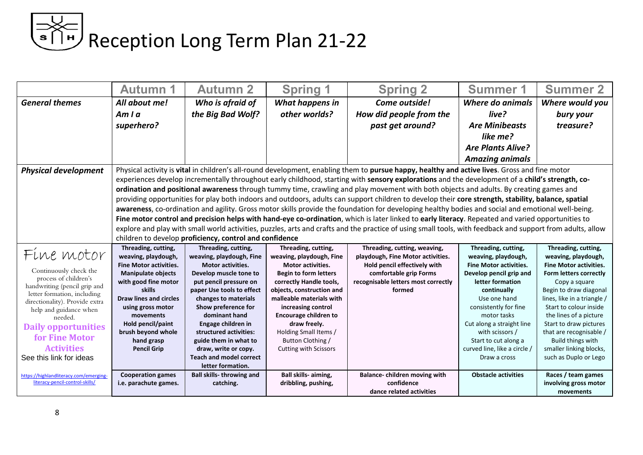|                                                 | <b>Autumn 1</b>                | <b>Autumn 2</b>                                         | <b>Spring 1</b>                              | <b>Spring 2</b>                                                                                                                                            | <b>Summer 1</b>                              | <b>Summer 2</b>                                  |
|-------------------------------------------------|--------------------------------|---------------------------------------------------------|----------------------------------------------|------------------------------------------------------------------------------------------------------------------------------------------------------------|----------------------------------------------|--------------------------------------------------|
| <b>General themes</b>                           | All about me!<br>Amla          | Who is afraid of<br>the Big Bad Wolf?                   | What happens in<br>other worlds?             | Come outside!<br>How did people from the                                                                                                                   | Where do animals<br>live?                    | Where would you<br>bury your                     |
|                                                 |                                |                                                         |                                              |                                                                                                                                                            |                                              |                                                  |
|                                                 | superhero?                     |                                                         |                                              | past get around?                                                                                                                                           | <b>Are Minibeasts</b>                        | treasure?                                        |
|                                                 |                                |                                                         |                                              |                                                                                                                                                            | like me?                                     |                                                  |
|                                                 |                                |                                                         |                                              |                                                                                                                                                            | <b>Are Plants Alive?</b>                     |                                                  |
|                                                 |                                |                                                         |                                              |                                                                                                                                                            | <b>Amazing animals</b>                       |                                                  |
| <b>Physical development</b>                     |                                |                                                         |                                              | Physical activity is vital in children's all-round development, enabling them to pursue happy, healthy and active lives. Gross and fine motor              |                                              |                                                  |
|                                                 |                                |                                                         |                                              | experiences develop incrementally throughout early childhood, starting with sensory explorations and the development of a child's strength, co-            |                                              |                                                  |
|                                                 |                                |                                                         |                                              | ordination and positional awareness through tummy time, crawling and play movement with both objects and adults. By creating games and                     |                                              |                                                  |
|                                                 |                                |                                                         |                                              | providing opportunities for play both indoors and outdoors, adults can support children to develop their core strength, stability, balance, spatial        |                                              |                                                  |
|                                                 |                                |                                                         |                                              | awareness, co-ordination and agility. Gross motor skills provide the foundation for developing healthy bodies and social and emotional well-being.         |                                              |                                                  |
|                                                 |                                |                                                         |                                              | Fine motor control and precision helps with hand-eye co-ordination, which is later linked to early literacy. Repeated and varied opportunities to          |                                              |                                                  |
|                                                 |                                |                                                         |                                              | explore and play with small world activities, puzzles, arts and crafts and the practice of using small tools, with feedback and support from adults, allow |                                              |                                                  |
|                                                 |                                | children to develop proficiency, control and confidence |                                              |                                                                                                                                                            |                                              |                                                  |
|                                                 | Threading, cutting,            | Threading, cutting,                                     | Threading, cutting,                          | Threading, cutting, weaving,                                                                                                                               | Threading, cutting,                          | Threading, cutting,                              |
| Fine motor                                      | weaving, playdough,            | weaving, playdough, Fine                                | weaving, playdough, Fine                     | playdough, Fine Motor activities.                                                                                                                          | weaving, playdough,                          | weaving, playdough,                              |
|                                                 | <b>Fine Motor activities.</b>  | <b>Motor activities.</b>                                | <b>Motor activities.</b>                     | Hold pencil effectively with                                                                                                                               | <b>Fine Motor activities.</b>                | <b>Fine Motor activities.</b>                    |
| Continuously check the<br>process of children's | <b>Manipulate objects</b>      | Develop muscle tone to                                  | <b>Begin to form letters</b>                 | comfortable grip Forms                                                                                                                                     | Develop pencil grip and                      | Form letters correctly                           |
| handwriting (pencil grip and                    | with good fine motor           | put pencil pressure on                                  | correctly Handle tools,                      | recognisable letters most correctly                                                                                                                        | letter formation                             | Copy a square                                    |
| letter formation, including                     | skills                         | paper Use tools to effect                               | objects, construction and                    | formed                                                                                                                                                     | continually                                  | Begin to draw diagonal                           |
| directionality). Provide extra                  | <b>Draw lines and circles</b>  | changes to materials                                    | malleable materials with                     |                                                                                                                                                            | Use one hand                                 | lines, like in a triangle /                      |
| help and guidance when                          | using gross motor              | Show preference for                                     | increasing control                           |                                                                                                                                                            | consistently for fine                        | Start to colour inside                           |
| needed.                                         | movements<br>Hold pencil/paint | dominant hand<br>Engage children in                     | <b>Encourage children to</b><br>draw freely. |                                                                                                                                                            | motor tasks                                  | the lines of a picture<br>Start to draw pictures |
| <b>Daily opportunities</b>                      | brush beyond whole             | structured activities:                                  | Holding Small Items /                        |                                                                                                                                                            | Cut along a straight line<br>with scissors / | that are recognisable /                          |
| for Fine Motor                                  | hand grasp                     | guide them in what to                                   | Button Clothing /                            |                                                                                                                                                            | Start to cut along a                         | Build things with                                |
| <b>Activities</b>                               | <b>Pencil Grip</b>             | draw, write or copy.                                    | Cutting with Scissors                        |                                                                                                                                                            | curved line, like a circle /                 | smaller linking blocks,                          |
| See this link for ideas                         |                                | <b>Teach and model correct</b>                          |                                              |                                                                                                                                                            | Draw a cross                                 | such as Duplo or Lego                            |
|                                                 |                                | letter formation.                                       |                                              |                                                                                                                                                            |                                              |                                                  |
| https://highlandliteracy.com/emerging-          | <b>Cooperation games</b>       | <b>Ball skills-throwing and</b>                         | Ball skills-aiming,                          | Balance-children moving with                                                                                                                               | <b>Obstacle activities</b>                   | Races / team games                               |
| literacy-pencil-control-skills/                 | i.e. parachute games.          | catching.                                               | dribbling, pushing,                          | confidence                                                                                                                                                 |                                              | involving gross motor                            |
|                                                 |                                |                                                         |                                              | dance related activities                                                                                                                                   |                                              | movements                                        |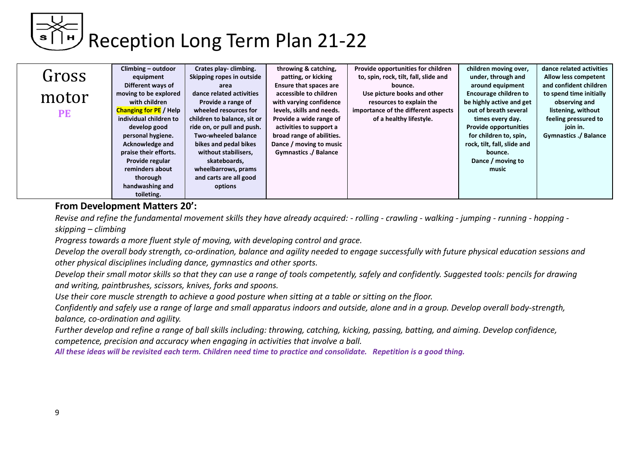|       | Climbing - outdoor            | Crates play-climbing.       | throwing & catching,          | Provide opportunities for children    | children moving over,        | dance related activities     |
|-------|-------------------------------|-----------------------------|-------------------------------|---------------------------------------|------------------------------|------------------------------|
| Gross | equipment                     | Skipping ropes in outside   | patting, or kicking           | to, spin, rock, tilt, fall, slide and | under, through and           | Allow less competent         |
|       | Different ways of             | area                        | <b>Ensure that spaces are</b> | bounce.                               | around equipment             | and confident children       |
| motor | moving to be explored         | dance related activities    | accessible to children        | Use picture books and other           | <b>Encourage children to</b> | to spend time initially      |
|       | with children                 | Provide a range of          | with varying confidence       | resources to explain the              | be highly active and get     | observing and                |
| PE    | <b>Changing for PE</b> / Help | wheeled resources for       | levels, skills and needs.     | importance of the different aspects   | out of breath several        | listening, without           |
|       | individual children to        | children to balance, sit or | Provide a wide range of       | of a healthy lifestyle.               | times every day.             | feeling pressured to         |
|       | develop good                  | ride on, or pull and push.  | activities to support a       |                                       | <b>Provide opportunities</b> | join in.                     |
|       | personal hygiene.             | Two-wheeled balance         | broad range of abilities.     |                                       | for children to, spin,       | <b>Gymnastics ./ Balance</b> |
|       | Acknowledge and               | bikes and pedal bikes       | Dance / moving to music       |                                       | rock, tilt, fall, slide and  |                              |
|       | praise their efforts.         | without stabilisers,        | Gymnastics ./ Balance         |                                       | bounce.                      |                              |
|       | Provide regular               | skateboards,                |                               |                                       | Dance / moving to            |                              |
|       | reminders about               | wheelbarrows, prams         |                               |                                       | music                        |                              |
|       | thorough                      | and carts are all good      |                               |                                       |                              |                              |
|       | handwashing and               | options                     |                               |                                       |                              |                              |
|       | toileting.                    |                             |                               |                                       |                              |                              |

#### **From Development Matters 20':**

*Revise and refine the fundamental movement skills they have already acquired: - rolling - crawling - walking - jumping - running - hopping skipping – climbing*

*Progress towards a more fluent style of moving, with developing control and grace.*

*Develop the overall body strength, co-ordination, balance and agility needed to engage successfully with future physical education sessions and other physical disciplines including dance, gymnastics and other sports.*

*Develop their small motor skills so that they can use a range of tools competently, safely and confidently. Suggested tools: pencils for drawing and writing, paintbrushes, scissors, knives, forks and spoons.* 

*Use their core muscle strength to achieve a good posture when sitting at a table or sitting on the floor.*

*Confidently and safely use a range of large and small apparatus indoors and outside, alone and in a group. Develop overall body-strength, balance, co-ordination and agility.*

*Further develop and refine a range of ball skills including: throwing, catching, kicking, passing, batting, and aiming. Develop confidence, competence, precision and accuracy when engaging in activities that involve a ball.*

*All these ideas will be revisited each term. Children need time to practice and consolidate. Repetition is a good thing.*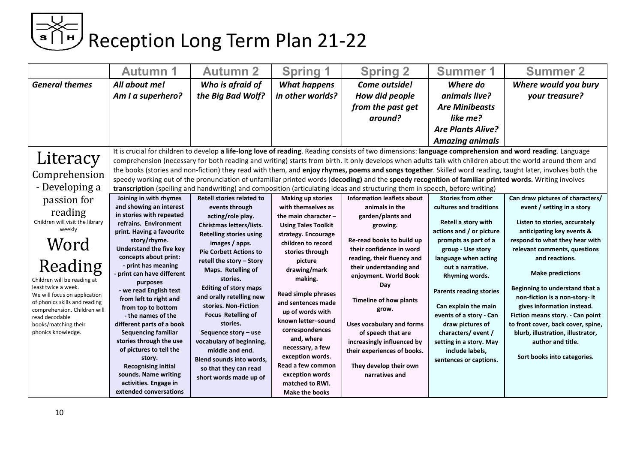### ⇒<< |<br>■ Reception Long Term Plan 21-22

|                                                                                                                                                                                                                                                                                                | <b>Autumn 1</b>                                                                                                                                                                                                                                                                                                                                                                                                                                                                                                                                                                    | <b>Autumn 2</b>                                                                                                                                                                                                                                                                                                                                                                                                                                                                                       | <b>Spring 1</b>                                                                                                                                                                                                                                                                                                                                                                                                                           | <b>Spring 2</b>                                                                                                                                                                                                                                                                                                                                                                                                | <b>Summer 1</b>                                                                                                                                                                                                                                                                                                                                                                             | <b>Summer 2</b>                                                                                                                                                                                                                                                                                                                                                                                                                                                                                                         |
|------------------------------------------------------------------------------------------------------------------------------------------------------------------------------------------------------------------------------------------------------------------------------------------------|------------------------------------------------------------------------------------------------------------------------------------------------------------------------------------------------------------------------------------------------------------------------------------------------------------------------------------------------------------------------------------------------------------------------------------------------------------------------------------------------------------------------------------------------------------------------------------|-------------------------------------------------------------------------------------------------------------------------------------------------------------------------------------------------------------------------------------------------------------------------------------------------------------------------------------------------------------------------------------------------------------------------------------------------------------------------------------------------------|-------------------------------------------------------------------------------------------------------------------------------------------------------------------------------------------------------------------------------------------------------------------------------------------------------------------------------------------------------------------------------------------------------------------------------------------|----------------------------------------------------------------------------------------------------------------------------------------------------------------------------------------------------------------------------------------------------------------------------------------------------------------------------------------------------------------------------------------------------------------|---------------------------------------------------------------------------------------------------------------------------------------------------------------------------------------------------------------------------------------------------------------------------------------------------------------------------------------------------------------------------------------------|-------------------------------------------------------------------------------------------------------------------------------------------------------------------------------------------------------------------------------------------------------------------------------------------------------------------------------------------------------------------------------------------------------------------------------------------------------------------------------------------------------------------------|
| <b>General themes</b>                                                                                                                                                                                                                                                                          | All about me!<br>Am I a superhero?                                                                                                                                                                                                                                                                                                                                                                                                                                                                                                                                                 | Who is afraid of<br>the Big Bad Wolf?                                                                                                                                                                                                                                                                                                                                                                                                                                                                 | <b>What happens</b><br>in other worlds?                                                                                                                                                                                                                                                                                                                                                                                                   | Come outside!<br>How did people<br>from the past get<br>around?                                                                                                                                                                                                                                                                                                                                                | Where do<br>animals live?<br><b>Are Minibeasts</b><br>like me?<br><b>Are Plants Alive?</b><br><b>Amazing animals</b>                                                                                                                                                                                                                                                                        | Where would you bury<br>your treasure?                                                                                                                                                                                                                                                                                                                                                                                                                                                                                  |
| Literacy<br>Comprehension<br>- Developing a<br>passion for                                                                                                                                                                                                                                     | Joining in with rhymes                                                                                                                                                                                                                                                                                                                                                                                                                                                                                                                                                             | Retell stories related to                                                                                                                                                                                                                                                                                                                                                                                                                                                                             | <b>Making up stories</b>                                                                                                                                                                                                                                                                                                                                                                                                                  | speedy working out of the pronunciation of unfamiliar printed words (decoding) and the speedy recognition of familiar printed words. Writing involves<br>transcription (spelling and handwriting) and composition (articulating ideas and structuring them in speech, before writing)<br><b>Information leaflets about</b>                                                                                     | <b>Stories from other</b>                                                                                                                                                                                                                                                                                                                                                                   | It is crucial for children to develop a life-long love of reading. Reading consists of two dimensions: language comprehension and word reading. Language<br>comprehension (necessary for both reading and writing) starts from birth. It only develops when adults talk with children about the world around them and<br>the books (stories and non-fiction) they read with them, and enjoy rhymes, poems and songs together. Skilled word reading, taught later, involves both the<br>Can draw pictures of characters/ |
| reading<br>Children will visit the library<br>weekly<br>Word<br>Reading<br>Children will be reading at<br>least twice a week.<br>We will focus on application<br>of phonics skills and reading<br>comprehension. Children will<br>read decodable<br>books/matching their<br>phonics knowledge. | and showing an interest<br>in stories with repeated<br>refrains. Environment<br>print. Having a favourite<br>story/rhyme.<br>Understand the five key<br>concepts about print:<br>- print has meaning<br>- print can have different<br>purposes<br>- we read English text<br>from left to right and<br>from top to bottom<br>- the names of the<br>different parts of a book<br><b>Sequencing familiar</b><br>stories through the use<br>of pictures to tell the<br>story.<br><b>Recognising initial</b><br>sounds. Name writing<br>activities. Engage in<br>extended conversations | events through<br>acting/role play.<br>Christmas letters/lists.<br><b>Retelling stories using</b><br>images / apps.<br><b>Pie Corbett Actions to</b><br>retell the story - Story<br>Maps. Retelling of<br>stories.<br><b>Editing of story maps</b><br>and orally retelling new<br>stories. Non-Fiction<br><b>Focus Retelling of</b><br>stories.<br>Sequence story - use<br>vocabulary of beginning,<br>middle and end.<br>Blend sounds into words,<br>so that they can read<br>short words made up of | with themselves as<br>the main character -<br><b>Using Tales Toolkit</b><br>strategy. Encourage<br>children to record<br>stories through<br>picture<br>drawing/mark<br>making.<br><b>Read simple phrases</b><br>and sentences made<br>up of words with<br>known letter-sound<br>correspondences<br>and, where<br>necessary, a few<br>exception words.<br>Read a few common<br>exception words<br>matched to RWI.<br><b>Make the books</b> | animals in the<br>garden/plants and<br>growing.<br>Re-read books to build up<br>their confidence in word<br>reading, their fluency and<br>their understanding and<br>enjoyment. World Book<br>Day<br><b>Timeline of how plants</b><br>grow.<br><b>Uses vocabulary and forms</b><br>of speech that are<br>increasingly influenced by<br>their experiences of books.<br>They develop their own<br>narratives and | cultures and traditions<br>Retell a story with<br>actions and / or picture<br>prompts as part of a<br>group - Use story<br>language when acting<br>out a narrative.<br>Rhyming words.<br><b>Parents reading stories</b><br>Can explain the main<br>events of a story - Can<br>draw pictures of<br>characters/event/<br>setting in a story. May<br>include labels,<br>sentences or captions. | event / setting in a story<br>Listen to stories, accurately<br>anticipating key events &<br>respond to what they hear with<br>relevant comments, questions<br>and reactions.<br><b>Make predictions</b><br>Beginning to understand that a<br>non-fiction is a non-story- it<br>gives information instead.<br>Fiction means story. - Can point<br>to front cover, back cover, spine,<br>blurb, illustration, illustrator,<br>author and title.<br>Sort books into categories.                                            |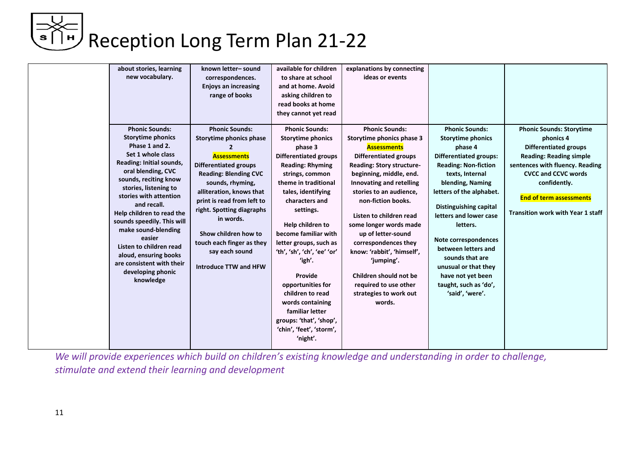| about stories, learning<br>new vocabulary.<br><b>Phonic Sounds:</b><br><b>Storytime phonics</b>                                                                                                                                                                                                                                                                                                 | known letter-sound<br>correspondences.<br><b>Enjoys an increasing</b><br>range of books<br><b>Phonic Sounds:</b><br>Storytime phonics phase                                                                                                                                                                     | available for children<br>to share at school<br>and at home. Avoid<br>asking children to<br>read books at home<br>they cannot yet read<br><b>Phonic Sounds:</b><br><b>Storytime phonics</b>                                                                                                                                                                                                                                                     | explanations by connecting<br>ideas or events<br><b>Phonic Sounds:</b><br>Storytime phonics phase 3                                                                                                                                                                                                                                                                                                                           | <b>Phonic Sounds:</b><br><b>Storytime phonics</b>                                                                                                                                                                                                                                                                                                                            | <b>Phonic Sounds: Storytime</b><br>phonics 4                                                                                                                                                                                  |
|-------------------------------------------------------------------------------------------------------------------------------------------------------------------------------------------------------------------------------------------------------------------------------------------------------------------------------------------------------------------------------------------------|-----------------------------------------------------------------------------------------------------------------------------------------------------------------------------------------------------------------------------------------------------------------------------------------------------------------|-------------------------------------------------------------------------------------------------------------------------------------------------------------------------------------------------------------------------------------------------------------------------------------------------------------------------------------------------------------------------------------------------------------------------------------------------|-------------------------------------------------------------------------------------------------------------------------------------------------------------------------------------------------------------------------------------------------------------------------------------------------------------------------------------------------------------------------------------------------------------------------------|------------------------------------------------------------------------------------------------------------------------------------------------------------------------------------------------------------------------------------------------------------------------------------------------------------------------------------------------------------------------------|-------------------------------------------------------------------------------------------------------------------------------------------------------------------------------------------------------------------------------|
| Phase 1 and 2.<br>Set 1 whole class<br>Reading: Initial sounds,<br>oral blending, CVC<br>sounds, reciting know<br>stories, listening to<br>stories with attention<br>and recall.<br>Help children to read the<br>sounds speedily. This will<br>make sound-blending<br>easier<br>Listen to children read<br>aloud, ensuring books<br>are consistent with their<br>developing phonic<br>knowledge | 2<br><b>Assessments</b><br><b>Differentiated groups</b><br><b>Reading: Blending CVC</b><br>sounds, rhyming,<br>alliteration, knows that<br>print is read from left to<br>right. Spotting diagraphs<br>in words.<br>Show children how to<br>touch each finger as they<br>say each sound<br>Introduce TTW and HFW | phase 3<br><b>Differentiated groups</b><br><b>Reading: Rhyming</b><br>strings, common<br>theme in traditional<br>tales, identifying<br>characters and<br>settings.<br>Help children to<br>become familiar with<br>letter groups, such as<br>'th', 'sh', 'ch', 'ee' 'or'<br>'igh'.<br>Provide<br>opportunities for<br>children to read<br>words containing<br>familiar letter<br>groups: 'that', 'shop',<br>'chin', 'feet', 'storm',<br>'night'. | <b>Assessments</b><br><b>Differentiated groups</b><br>Reading: Story structure-<br>beginning, middle, end.<br>Innovating and retelling<br>stories to an audience,<br>non-fiction books.<br>Listen to children read<br>some longer words made<br>up of letter-sound<br>correspondences they<br>know: 'rabbit', 'himself',<br>'jumping'.<br>Children should not be<br>required to use other<br>strategies to work out<br>words. | phase 4<br><b>Differentiated groups:</b><br><b>Reading: Non-fiction</b><br>texts, Internal<br>blending, Naming<br>letters of the alphabet.<br><b>Distinguishing capital</b><br>letters and lower case<br>letters.<br>Note correspondences<br>between letters and<br>sounds that are<br>unusual or that they<br>have not yet been<br>taught, such as 'do',<br>'said', 'were'. | <b>Differentiated groups</b><br><b>Reading: Reading simple</b><br>sentences with fluency. Reading<br><b>CVCC and CCVC words</b><br>confidently.<br><b>End of term assessments</b><br><b>Transition work with Year 1 staff</b> |

*We will provide experiences which build on children's existing knowledge and understanding in order to challenge, stimulate and extend their learning and development*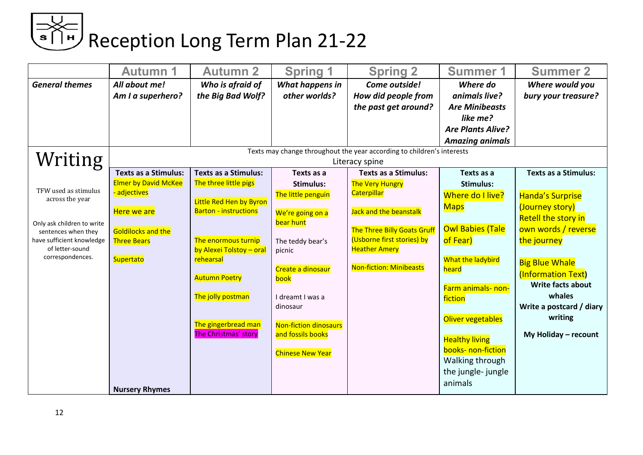| <b>General themes</b><br>All about me!<br>Who is afraid of<br>What happens in<br>Come outside!<br>Where do<br>other worlds?<br>Am I a superhero?<br>the Big Bad Wolf?<br>How did people from<br>animals live?<br>the past get around?<br><b>Are Minibeasts</b><br>like me?<br><b>Are Plants Alive?</b><br><b>Amazing animals</b><br>Texts may change throughout the year according to children's interests<br>Writing<br>Literacy spine<br><b>Texts as a Stimulus:</b><br><b>Texts as a Stimulus:</b><br><b>Texts as a Stimulus:</b><br>Texts as a<br>Texts as a<br><b>Elmer by David McKee</b><br>The three little pigs<br><b>The Very Hungry</b><br><b>Stimulus:</b><br><b>Stimulus:</b><br>TFW used as stimulus<br>adjectives<br><b>Caterpillar</b><br>The little penguin<br>Where do I live?<br><b>Handa's Surprise</b><br>across the year<br>Little Red Hen by Byron<br>(Journey story)<br><b>Maps</b><br><b>Barton - instructions</b><br>Here we are<br>Jack and the beanstalk<br>We're going on a<br><b>Retell the story in</b><br>bear hunt<br>Only ask children to write<br><b>Owl Babies (Tale</b><br>The Three Billy Goats Gruff<br><b>Goldilocks and the</b><br>sentences when they<br>(Usborne first stories) by<br>of Fear)<br>have sufficient knowledge<br>The enormous turnip<br>the journey<br><b>Three Bears</b><br>The teddy bear's<br>of letter-sound<br><b>Heather Amery</b><br>by Alexei Tolstoy - oral<br>picnic<br>correspondences.<br>rehearsal<br>What the ladybird<br>Supertato<br><b>Big Blue Whale</b><br><b>Non-fiction: Minibeasts</b><br>Create a dinosaur<br>heard<br><b>Autumn Poetry</b><br>book<br>Farm animals- non-<br>whales<br>The jolly postman<br>I dreamt I was a<br>fiction<br>dinosaur | <b>Autumn 1</b> | <b>Autumn 2</b> | <b>Spring 1</b> | <b>Spring 2</b> | <b>Summer 1</b> | <b>Summer 2</b>                                                                                                                                          |
|-------------------------------------------------------------------------------------------------------------------------------------------------------------------------------------------------------------------------------------------------------------------------------------------------------------------------------------------------------------------------------------------------------------------------------------------------------------------------------------------------------------------------------------------------------------------------------------------------------------------------------------------------------------------------------------------------------------------------------------------------------------------------------------------------------------------------------------------------------------------------------------------------------------------------------------------------------------------------------------------------------------------------------------------------------------------------------------------------------------------------------------------------------------------------------------------------------------------------------------------------------------------------------------------------------------------------------------------------------------------------------------------------------------------------------------------------------------------------------------------------------------------------------------------------------------------------------------------------------------------------------------------------------------------------------------------------------------------------------------|-----------------|-----------------|-----------------|-----------------|-----------------|----------------------------------------------------------------------------------------------------------------------------------------------------------|
|                                                                                                                                                                                                                                                                                                                                                                                                                                                                                                                                                                                                                                                                                                                                                                                                                                                                                                                                                                                                                                                                                                                                                                                                                                                                                                                                                                                                                                                                                                                                                                                                                                                                                                                                     |                 |                 |                 |                 |                 | Where would you<br>bury your treasure?                                                                                                                   |
|                                                                                                                                                                                                                                                                                                                                                                                                                                                                                                                                                                                                                                                                                                                                                                                                                                                                                                                                                                                                                                                                                                                                                                                                                                                                                                                                                                                                                                                                                                                                                                                                                                                                                                                                     |                 |                 |                 |                 |                 |                                                                                                                                                          |
| writing<br>Oliver vegetables<br>The gingerbread man<br><b>Non-fiction dinosaurs</b><br>The Christmas' story<br>and fossils books<br><b>Healthy living</b><br>books- non-fiction<br><b>Chinese New Year</b><br>Walking through<br>the jungle-jungle<br>animals<br><b>Nursery Rhymes</b>                                                                                                                                                                                                                                                                                                                                                                                                                                                                                                                                                                                                                                                                                                                                                                                                                                                                                                                                                                                                                                                                                                                                                                                                                                                                                                                                                                                                                                              |                 |                 |                 |                 |                 | <b>Texts as a Stimulus:</b><br>own words / reverse<br>(Information Text)<br><b>Write facts about</b><br>Write a postcard / diary<br>My Holiday - recount |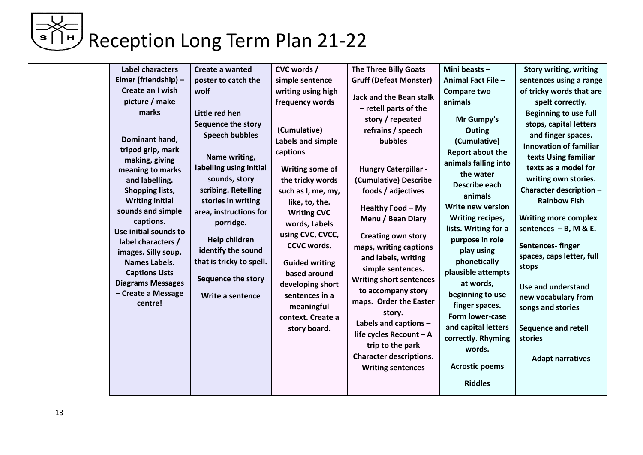| <b>Label characters</b><br>Elmer (friendship) -<br>Create an I wish<br>picture / make<br>marks<br>Dominant hand,<br>tripod grip, mark<br>making, giving<br>meaning to marks<br>and labelling.<br>Shopping lists,<br><b>Writing initial</b><br>sounds and simple<br>captions.<br>Use initial sounds to<br>label characters /<br>images. Silly soup.<br><b>Names Labels.</b><br><b>Captions Lists</b><br><b>Diagrams Messages</b><br>- Create a Message<br>centre! | Create a wanted<br>poster to catch the<br>wolf<br>Little red hen<br>Sequence the story<br><b>Speech bubbles</b><br>Name writing,<br>labelling using initial<br>sounds, story<br>scribing. Retelling<br>stories in writing<br>area, instructions for<br>porridge.<br><b>Help children</b><br>identify the sound<br>that is tricky to spell.<br>Sequence the story<br>Write a sentence | CVC words /<br>simple sentence<br>writing using high<br>frequency words<br>(Cumulative)<br>Labels and simple<br>captions<br>Writing some of<br>the tricky words<br>such as I, me, my,<br>like, to, the.<br><b>Writing CVC</b><br>words, Labels<br>using CVC, CVCC,<br><b>CCVC words.</b><br><b>Guided writing</b><br>based around<br>developing short<br>sentences in a<br>meaningful<br>context. Create a<br>story board. | <b>The Three Billy Goats</b><br><b>Gruff (Defeat Monster)</b><br><b>Jack and the Bean stalk</b><br>- retell parts of the<br>story / repeated<br>refrains / speech<br>bubbles<br><b>Hungry Caterpillar -</b><br>(Cumulative) Describe<br>foods / adjectives<br>Healthy Food - My<br>Menu / Bean Diary<br><b>Creating own story</b><br>maps, writing captions<br>and labels, writing<br>simple sentences.<br><b>Writing short sentences</b><br>to accompany story<br>maps. Order the Easter<br>story.<br>Labels and captions -<br>life cycles Recount - A<br>trip to the park<br><b>Character descriptions.</b> | Mini beasts -<br>Animal Fact File -<br><b>Compare two</b><br>animals<br>Mr Gumpy's<br>Outing<br>(Cumulative)<br><b>Report about the</b><br>animals falling into<br>the water<br>Describe each<br>animals<br>Write new version<br>Writing recipes,<br>lists. Writing for a<br>purpose in role<br>play using<br>phonetically<br>plausible attempts<br>at words,<br>beginning to use<br>finger spaces.<br>Form lower-case<br>and capital letters<br>correctly. Rhyming<br>words. | <b>Story writing, writing</b><br>sentences using a range<br>of tricky words that are<br>spelt correctly.<br><b>Beginning to use full</b><br>stops, capital letters<br>and finger spaces.<br><b>Innovation of familiar</b><br>texts Using familiar<br>texts as a model for<br>writing own stories.<br>Character description -<br><b>Rainbow Fish</b><br><b>Writing more complex</b><br>sentences $- B$ , M & E.<br>Sentences-finger<br>spaces, caps letter, full<br>stops<br>Use and understand<br>new vocabulary from<br>songs and stories<br><b>Sequence and retell</b><br>stories |
|------------------------------------------------------------------------------------------------------------------------------------------------------------------------------------------------------------------------------------------------------------------------------------------------------------------------------------------------------------------------------------------------------------------------------------------------------------------|--------------------------------------------------------------------------------------------------------------------------------------------------------------------------------------------------------------------------------------------------------------------------------------------------------------------------------------------------------------------------------------|----------------------------------------------------------------------------------------------------------------------------------------------------------------------------------------------------------------------------------------------------------------------------------------------------------------------------------------------------------------------------------------------------------------------------|---------------------------------------------------------------------------------------------------------------------------------------------------------------------------------------------------------------------------------------------------------------------------------------------------------------------------------------------------------------------------------------------------------------------------------------------------------------------------------------------------------------------------------------------------------------------------------------------------------------|-------------------------------------------------------------------------------------------------------------------------------------------------------------------------------------------------------------------------------------------------------------------------------------------------------------------------------------------------------------------------------------------------------------------------------------------------------------------------------|-------------------------------------------------------------------------------------------------------------------------------------------------------------------------------------------------------------------------------------------------------------------------------------------------------------------------------------------------------------------------------------------------------------------------------------------------------------------------------------------------------------------------------------------------------------------------------------|
|                                                                                                                                                                                                                                                                                                                                                                                                                                                                  |                                                                                                                                                                                                                                                                                                                                                                                      |                                                                                                                                                                                                                                                                                                                                                                                                                            | <b>Writing sentences</b>                                                                                                                                                                                                                                                                                                                                                                                                                                                                                                                                                                                      | <b>Acrostic poems</b><br><b>Riddles</b>                                                                                                                                                                                                                                                                                                                                                                                                                                       | <b>Adapt narratives</b>                                                                                                                                                                                                                                                                                                                                                                                                                                                                                                                                                             |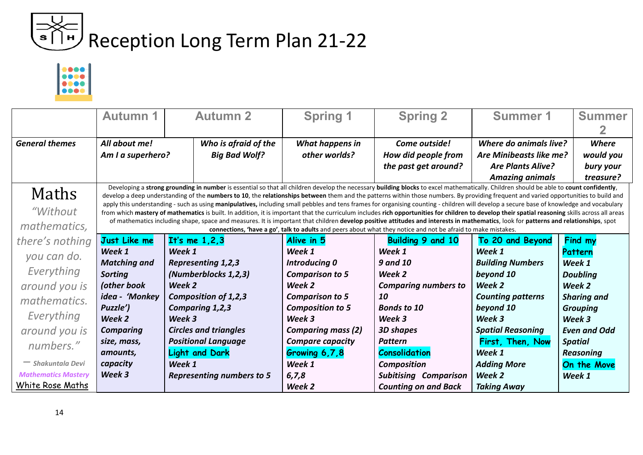

|                                   | <b>Autumn 1</b>                       | <b>Autumn 2</b>                                                                                                                                                                                                                                                                                                                                                                                                                                                                                                                                                                                                                                                                                                                                                                                                                                                                                                                                                         | <b>Spring 1</b>                         | <b>Spring 2</b>                                                                                               | <b>Summer 1</b>                                                                                         | <b>Summer</b>                                |
|-----------------------------------|---------------------------------------|-------------------------------------------------------------------------------------------------------------------------------------------------------------------------------------------------------------------------------------------------------------------------------------------------------------------------------------------------------------------------------------------------------------------------------------------------------------------------------------------------------------------------------------------------------------------------------------------------------------------------------------------------------------------------------------------------------------------------------------------------------------------------------------------------------------------------------------------------------------------------------------------------------------------------------------------------------------------------|-----------------------------------------|---------------------------------------------------------------------------------------------------------------|---------------------------------------------------------------------------------------------------------|----------------------------------------------|
| <b>General themes</b>             | All about me!<br>Am I a superhero?    | Who is afraid of the<br><b>Big Bad Wolf?</b>                                                                                                                                                                                                                                                                                                                                                                                                                                                                                                                                                                                                                                                                                                                                                                                                                                                                                                                            | What happens in<br>other worlds?        | Come outside!<br>How did people from<br>the past get around?                                                  | Where do animals live?<br>Are Minibeasts like me?<br><b>Are Plants Alive?</b><br><b>Amazing animals</b> | Where<br>would you<br>bury your<br>treasure? |
| Maths<br>"Without<br>mathematics, |                                       | Developing a strong grounding in number is essential so that all children develop the necessary building blocks to excel mathematically. Children should be able to count confidently,<br>develop a deep understanding of the numbers to 10, the relationships between them and the patterns within those numbers. By providing frequent and varied opportunities to build and<br>apply this understanding - such as using manipulatives, including small pebbles and tens frames for organising counting - children will develop a secure base of knowledge and vocabulary<br>from which mastery of mathematics is built. In addition, it is important that the curriculum includes rich opportunities for children to develop their spatial reasoning skills across all areas<br>of mathematics including shape, space and measures. It is important that children develop positive attitudes and interests in mathematics, look for patterns and relationships, spot |                                         | connections, 'have a go', talk to adults and peers about what they notice and not be afraid to make mistakes. |                                                                                                         |                                              |
| there's nothing                   | Just Like me                          | It's me $1,2,3$                                                                                                                                                                                                                                                                                                                                                                                                                                                                                                                                                                                                                                                                                                                                                                                                                                                                                                                                                         | Alive in 5                              | <b>Building 9 and 10</b>                                                                                      | To 20 and Beyond                                                                                        | Find my                                      |
| you can do.                       | Week 1                                | Week 1                                                                                                                                                                                                                                                                                                                                                                                                                                                                                                                                                                                                                                                                                                                                                                                                                                                                                                                                                                  | Week 1                                  | Week 1                                                                                                        | Week 1                                                                                                  | Pattern                                      |
| Everything                        | <b>Matching and</b><br><b>Sorting</b> | <b>Representing 1,2,3</b><br>(Numberblocks 1,2,3)                                                                                                                                                                                                                                                                                                                                                                                                                                                                                                                                                                                                                                                                                                                                                                                                                                                                                                                       | Introducing 0<br><b>Comparison to 5</b> | <b>9 and 10</b><br>Week 2                                                                                     | <b>Building Numbers</b><br>beyond 10                                                                    | Week 1<br><b>Doubling</b>                    |
| around you is                     | (other book                           | Week 2                                                                                                                                                                                                                                                                                                                                                                                                                                                                                                                                                                                                                                                                                                                                                                                                                                                                                                                                                                  | Week 2                                  | <b>Comparing numbers to</b>                                                                                   | Week 2                                                                                                  | Week 2                                       |
| mathematics.                      | idea - 'Monkey                        | Composition of 1,2,3                                                                                                                                                                                                                                                                                                                                                                                                                                                                                                                                                                                                                                                                                                                                                                                                                                                                                                                                                    | <b>Comparison to 5</b>                  | 10                                                                                                            | <b>Counting patterns</b>                                                                                | <b>Sharing and</b>                           |
| Everything                        | Puzzle')                              | Comparing 1,2,3                                                                                                                                                                                                                                                                                                                                                                                                                                                                                                                                                                                                                                                                                                                                                                                                                                                                                                                                                         | <b>Composition to 5</b>                 | <b>Bonds to 10</b>                                                                                            | beyond 10                                                                                               | <b>Grouping</b>                              |
|                                   | Week 2<br><b>Comparing</b>            | Week 3<br><b>Circles and triangles</b>                                                                                                                                                                                                                                                                                                                                                                                                                                                                                                                                                                                                                                                                                                                                                                                                                                                                                                                                  | Week 3<br><b>Comparing mass (2)</b>     | Week 3<br><b>3D shapes</b>                                                                                    | Week 3<br><b>Spatial Reasoning</b>                                                                      | Week 3<br><b>Even and Odd</b>                |
| around you is                     | size, mass,                           | <b>Positional Language</b>                                                                                                                                                                                                                                                                                                                                                                                                                                                                                                                                                                                                                                                                                                                                                                                                                                                                                                                                              | <b>Compare capacity</b>                 | <b>Pattern</b>                                                                                                | First, Then, Now                                                                                        | <b>Spatial</b>                               |
| numbers."                         | amounts,                              | <b>Light and Dark</b>                                                                                                                                                                                                                                                                                                                                                                                                                                                                                                                                                                                                                                                                                                                                                                                                                                                                                                                                                   | Growing 6,7,8                           | <b>Consolidation</b>                                                                                          | Week 1                                                                                                  | <b>Reasoning</b>                             |
| - Shakuntala Devi                 | capacity                              | Week 1                                                                                                                                                                                                                                                                                                                                                                                                                                                                                                                                                                                                                                                                                                                                                                                                                                                                                                                                                                  | Week 1                                  | <b>Composition</b>                                                                                            | <b>Adding More</b>                                                                                      | On the Move                                  |
| <b>Mathematics Mastery</b>        | Week 3                                | <b>Representing numbers to 5</b>                                                                                                                                                                                                                                                                                                                                                                                                                                                                                                                                                                                                                                                                                                                                                                                                                                                                                                                                        | 6, 7, 8                                 | <b>Subitising Comparison</b>                                                                                  | Week 2                                                                                                  | Week 1                                       |
| White Rose Maths                  |                                       |                                                                                                                                                                                                                                                                                                                                                                                                                                                                                                                                                                                                                                                                                                                                                                                                                                                                                                                                                                         | Week 2                                  | <b>Counting on and Back</b>                                                                                   | <b>Taking Away</b>                                                                                      |                                              |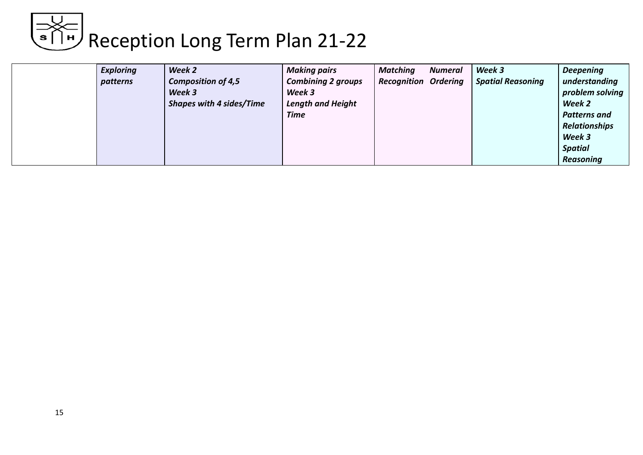|  | <b>Exploring</b><br>patterns | Week 2<br><b>Composition of 4,5</b><br>Week 3<br><b>Shapes with 4 sides/Time</b> | <b>Making pairs</b><br><b>Combining 2 groups</b><br>Week 3<br><b>Length and Height</b><br><b>Time</b> | <b>Matching</b><br><b>Recognition Ordering</b> | <b>Numeral</b> | Week 3<br><b>Spatial Reasoning</b> | <b>Deepening</b><br>understanding<br>problem solving<br>Week 2<br><b>Patterns and</b><br><b>Relationships</b><br>Week 3<br><b>Spatial</b><br>Reasoning |
|--|------------------------------|----------------------------------------------------------------------------------|-------------------------------------------------------------------------------------------------------|------------------------------------------------|----------------|------------------------------------|--------------------------------------------------------------------------------------------------------------------------------------------------------|
|--|------------------------------|----------------------------------------------------------------------------------|-------------------------------------------------------------------------------------------------------|------------------------------------------------|----------------|------------------------------------|--------------------------------------------------------------------------------------------------------------------------------------------------------|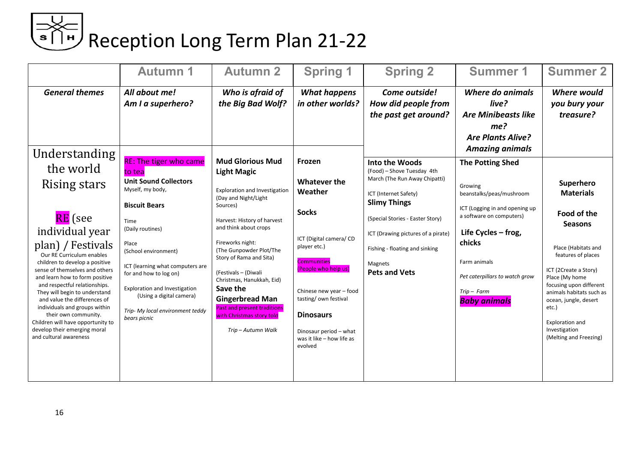# ⇒ < |<br>■ Reception Long Term Plan 21-22

|                                                                                                    | <b>Autumn 1</b>                                            | <b>Autumn 2</b>                                                        | <b>Spring 1</b>                                                | <b>Spring 2</b>                                                      | <b>Summer 1</b>                                                                            | <b>Summer 2</b>                                                              |
|----------------------------------------------------------------------------------------------------|------------------------------------------------------------|------------------------------------------------------------------------|----------------------------------------------------------------|----------------------------------------------------------------------|--------------------------------------------------------------------------------------------|------------------------------------------------------------------------------|
| <b>General themes</b>                                                                              | All about me!<br>Am I a superhero?                         | Who is afraid of<br>the Big Bad Wolf?                                  | <b>What happens</b><br>in other worlds?                        | Come outside!<br>How did people from<br>the past get around?         | Where do animals<br>live?<br><b>Are Minibeasts like</b><br>me?<br><b>Are Plants Alive?</b> | <b>Where would</b><br>you bury your<br>treasure?                             |
| <b>Understanding</b>                                                                               | <b>RE: The tiger who came</b>                              | <b>Mud Glorious Mud</b>                                                |                                                                |                                                                      | <b>Amazing animals</b>                                                                     |                                                                              |
| the world                                                                                          | to tea                                                     | <b>Light Magic</b>                                                     | Frozen                                                         | Into the Woods<br>(Food) - Shove Tuesday 4th                         | <b>The Potting Shed</b>                                                                    |                                                                              |
| Rising stars                                                                                       | <b>Unit Sound Collectors</b><br>Myself, my body,           | Exploration and Investigation<br>(Day and Night/Light                  | <b>Whatever the</b><br>Weather                                 | March (The Run Away Chipatti)<br>ICT (Internet Safety)               | Growing<br>beanstalks/peas/mushroom                                                        | Superhero<br><b>Materials</b>                                                |
|                                                                                                    | <b>Biscuit Bears</b>                                       | Sources)                                                               | <b>Socks</b>                                                   | <b>Slimy Things</b>                                                  | ICT (Logging in and opening up<br>a software on computers)                                 | Food of the                                                                  |
| <b>RE</b> (see<br>individual year                                                                  | Time<br>(Daily routines)                                   | Harvest: History of harvest<br>and think about crops                   |                                                                | (Special Stories - Easter Story)                                     | Life Cycles - frog,                                                                        | <b>Seasons</b>                                                               |
| plan) / Festivals<br>Our RE Curriculum enables                                                     | Place<br>(School environment)                              | Fireworks night:<br>(The Gunpowder Plot/The<br>Story of Rama and Sita) | ICT (Digital camera/ CD<br>player etc.)                        | ICT (Drawing pictures of a pirate)<br>Fishing - floating and sinking | chicks                                                                                     | Place (Habitats and<br>features of places                                    |
| children to develop a positive<br>sense of themselves and others<br>and learn how to form positive | ICT (learning what computers are<br>for and how to log on) | (Festivals - (Diwali<br>Christmas, Hanukkah, Eid)                      | <b>Communities</b><br>(People who help us)                     | Magnets<br><b>Pets and Vets</b>                                      | Farm animals<br>Pet caterpillars to watch grow                                             | ICT (2Create a Story)<br>Place (My home                                      |
| and respectful relationships.<br>They will begin to understand<br>and value the differences of     | Exploration and Investigation<br>(Using a digital camera)  | Save the<br><b>Gingerbread Man</b>                                     | Chinese new year - food<br>tasting/ own festival               |                                                                      | $Trip - Farm$<br><b>Baby animals</b>                                                       | focusing upon different<br>animals habitats such as<br>ocean, jungle, desert |
| individuals and groups within<br>their own community.<br>Children will have opportunity to         | Trip- My local environment teddy<br>bears picnic           | <b>Past and present traditions</b><br>with Christmas story told        | <b>Dinosaurs</b>                                               |                                                                      |                                                                                            | etc.)<br>Exploration and                                                     |
| develop their emerging moral<br>and cultural awareness                                             |                                                            | Trip-Autumn Walk                                                       | Dinosaur period - what<br>was it like - how life as<br>evolved |                                                                      |                                                                                            | Investigation<br>(Melting and Freezing)                                      |
|                                                                                                    |                                                            |                                                                        |                                                                |                                                                      |                                                                                            |                                                                              |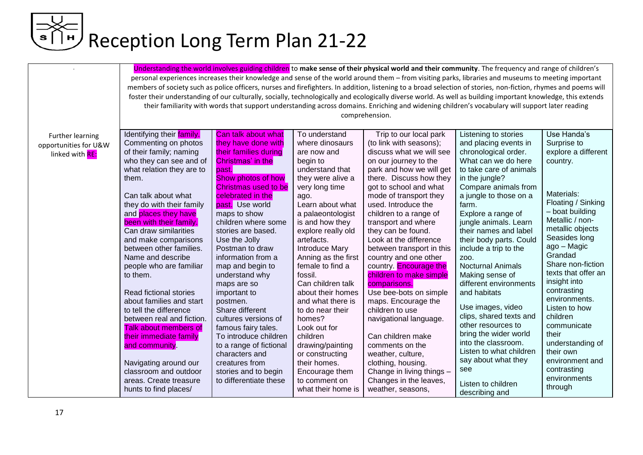|                       | Understanding the world involves guiding children to make sense of their physical world and their community. The frequency and range of children's              |                                                |                                 |                                                     |                          |                              |  |  |
|-----------------------|-----------------------------------------------------------------------------------------------------------------------------------------------------------------|------------------------------------------------|---------------------------------|-----------------------------------------------------|--------------------------|------------------------------|--|--|
|                       | personal experiences increases their knowledge and sense of the world around them - from visiting parks, libraries and museums to meeting important             |                                                |                                 |                                                     |                          |                              |  |  |
|                       | members of society such as police officers, nurses and firefighters. In addition, listening to a broad selection of stories, non-fiction, rhymes and poems will |                                                |                                 |                                                     |                          |                              |  |  |
|                       | foster their understanding of our culturally, socially, technologically and ecologically diverse world. As well as building important knowledge, this extends   |                                                |                                 |                                                     |                          |                              |  |  |
|                       | their familiarity with words that support understanding across domains. Enriching and widening children's vocabulary will support later reading                 |                                                |                                 |                                                     |                          |                              |  |  |
|                       | comprehension.                                                                                                                                                  |                                                |                                 |                                                     |                          |                              |  |  |
|                       |                                                                                                                                                                 |                                                |                                 |                                                     |                          |                              |  |  |
| Further learning      | Identifying their family.                                                                                                                                       | Can talk about what                            | To understand                   | Trip to our local park                              | Listening to stories     | Use Handa's                  |  |  |
| opportunities for U&W | Commenting on photos                                                                                                                                            | they have done with                            | where dinosaurs                 | (to link with seasons);                             | and placing events in    | Surprise to                  |  |  |
| linked with RE:       | of their family; naming                                                                                                                                         | their families during                          | are now and                     | discuss what we will see                            | chronological order.     | explore a different          |  |  |
|                       | who they can see and of                                                                                                                                         | Christmas' in the                              | begin to                        | on our journey to the                               | What can we do here      | country.                     |  |  |
|                       | what relation they are to                                                                                                                                       | past.                                          | understand that                 | park and how we will get                            | to take care of animals  |                              |  |  |
|                       | them.                                                                                                                                                           | <b>Show photos of how</b>                      | they were alive a               | there. Discuss how they                             | in the jungle?           |                              |  |  |
|                       |                                                                                                                                                                 | Christmas used to be                           | very long time                  | got to school and what                              | Compare animals from     |                              |  |  |
|                       | Can talk about what                                                                                                                                             | celebrated in the                              | ago.                            | mode of transport they                              | a jungle to those on a   | Materials:                   |  |  |
|                       | they do with their family                                                                                                                                       | past. Use world                                | Learn about what                | used. Introduce the                                 | farm.                    | Floating / Sinking           |  |  |
|                       | and places they have                                                                                                                                            | maps to show                                   | a palaeontologist               | children to a range of                              | Explore a range of       | - boat building              |  |  |
|                       | been with their family.                                                                                                                                         | children where some                            | is and how they                 | transport and where                                 | jungle animals. Learn    | Metallic / non-              |  |  |
|                       | Can draw similarities                                                                                                                                           | stories are based.                             | explore really old              | they can be found.                                  | their names and label    | metallic objects             |  |  |
|                       | and make comparisons                                                                                                                                            | Use the Jolly                                  | artefacts.                      | Look at the difference                              | their body parts. Could  | Seasides long                |  |  |
|                       | between other families.                                                                                                                                         | Postman to draw                                | <b>Introduce Mary</b>           | between transport in this                           | include a trip to the    | ago - Magic                  |  |  |
|                       | Name and describe                                                                                                                                               | information from a                             | Anning as the first             | country and one other                               | Z00.                     | Grandad                      |  |  |
|                       | people who are familiar                                                                                                                                         | map and begin to                               | female to find a                | country. Encourage the                              | <b>Nocturnal Animals</b> | Share non-fiction            |  |  |
|                       | to them.                                                                                                                                                        | understand why                                 | fossil.                         | children to make simple                             | Making sense of          | texts that offer an          |  |  |
|                       |                                                                                                                                                                 | maps are so                                    | Can children talk               | comparisons.                                        | different environments   | insight into                 |  |  |
|                       | Read fictional stories                                                                                                                                          | important to                                   | about their homes               | Use bee-bots on simple                              | and habitats             | contrasting<br>environments. |  |  |
|                       | about families and start                                                                                                                                        | postmen.                                       | and what there is               | maps. Encourage the                                 | Use images, video        | Listen to how                |  |  |
|                       | to tell the difference                                                                                                                                          | Share different                                | to do near their                | children to use                                     | clips, shared texts and  | children                     |  |  |
|                       | between real and fiction.                                                                                                                                       | cultures versions of                           | homes?                          | navigational language.                              | other resources to       | communicate                  |  |  |
|                       | <b>Talk about members of</b>                                                                                                                                    | famous fairy tales.                            | Look out for                    |                                                     | bring the wider world    | their                        |  |  |
|                       | their immediate family                                                                                                                                          | To introduce children                          | children                        | Can children make                                   | into the classroom.      | understanding of             |  |  |
|                       | and community.                                                                                                                                                  | to a range of fictional                        | drawing/painting                | comments on the                                     | Listen to what children  | their own                    |  |  |
|                       |                                                                                                                                                                 | characters and                                 | or constructing                 | weather, culture,                                   | say about what they      | environment and              |  |  |
|                       | Navigating around our<br>classroom and outdoor                                                                                                                  | creatures from                                 | their homes.                    | clothing, housing.                                  | see                      | contrasting                  |  |  |
|                       | areas. Create treasure                                                                                                                                          | stories and to begin<br>to differentiate these | Encourage them<br>to comment on | Change in living things -<br>Changes in the leaves, |                          | environments                 |  |  |
|                       | hunts to find places/                                                                                                                                           |                                                | what their home is              | weather, seasons,                                   | Listen to children       | through                      |  |  |
|                       |                                                                                                                                                                 |                                                |                                 |                                                     | describing and           |                              |  |  |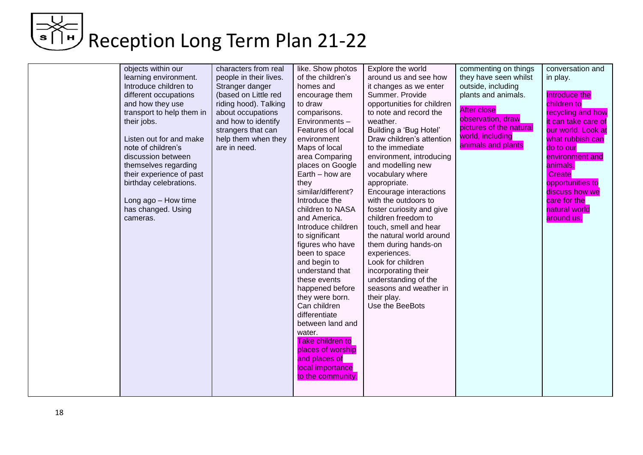| objects within our<br>learning environment.<br>Introduce children to<br>different occupations<br>and how they use<br>transport to help them in<br>their jobs.<br>Listen out for and make<br>note of children's<br>discussion between<br>themselves regarding<br>their experience of past<br>birthday celebrations.<br>Long ago - How time<br>has changed. Using<br>cameras. | characters from real<br>people in their lives.<br>Stranger danger<br>(based on Little red<br>riding hood). Talking<br>about occupations<br>and how to identify<br>strangers that can<br>help them when they<br>are in need. | like. Show photos<br>of the children's<br>homes and<br>encourage them<br>to draw<br>comparisons.<br>Environments-<br>Features of local<br>environment<br>Maps of local<br>area Comparing<br>places on Google<br>Earth - how are<br>they<br>similar/different?<br>Introduce the<br>children to NASA<br>and America.<br>Introduce children<br>to significant<br>figures who have<br>been to space<br>and begin to<br>understand that<br>these events<br>happened before<br>they were born.<br>Can children<br>differentiate<br>between land and<br>water.<br>Take children to<br>places of worship<br>and places of<br>local importance<br>to the community. | Explore the world<br>around us and see how<br>it changes as we enter<br>Summer. Provide<br>opportunities for children<br>to note and record the<br>weather.<br>Building a 'Bug Hotel'<br>Draw children's attention<br>to the immediate<br>environment, introducing<br>and modelling new<br>vocabulary where<br>appropriate.<br>Encourage interactions<br>with the outdoors to<br>foster curiosity and give<br>children freedom to<br>touch, smell and hear<br>the natural world around<br>them during hands-on<br>experiences.<br>Look for children<br>incorporating their<br>understanding of the<br>seasons and weather in<br>their play.<br>Use the BeeBots | commenting on things<br>they have seen whilst<br>outside, including<br>plants and animals.<br><b>After close</b><br>observation, draw<br>pictures of the natural<br>world, including<br>animals and plants | conversation and<br>in play.<br>Introduce the<br>children to<br>recycling and how<br>it can take care of<br>our world. Look at<br>what rubbish can<br>do to our<br>environment and<br>animals.<br>Create<br>opportunities to<br>discuss how we<br>care for the<br>natural world<br>around us. |
|-----------------------------------------------------------------------------------------------------------------------------------------------------------------------------------------------------------------------------------------------------------------------------------------------------------------------------------------------------------------------------|-----------------------------------------------------------------------------------------------------------------------------------------------------------------------------------------------------------------------------|------------------------------------------------------------------------------------------------------------------------------------------------------------------------------------------------------------------------------------------------------------------------------------------------------------------------------------------------------------------------------------------------------------------------------------------------------------------------------------------------------------------------------------------------------------------------------------------------------------------------------------------------------------|----------------------------------------------------------------------------------------------------------------------------------------------------------------------------------------------------------------------------------------------------------------------------------------------------------------------------------------------------------------------------------------------------------------------------------------------------------------------------------------------------------------------------------------------------------------------------------------------------------------------------------------------------------------|------------------------------------------------------------------------------------------------------------------------------------------------------------------------------------------------------------|-----------------------------------------------------------------------------------------------------------------------------------------------------------------------------------------------------------------------------------------------------------------------------------------------|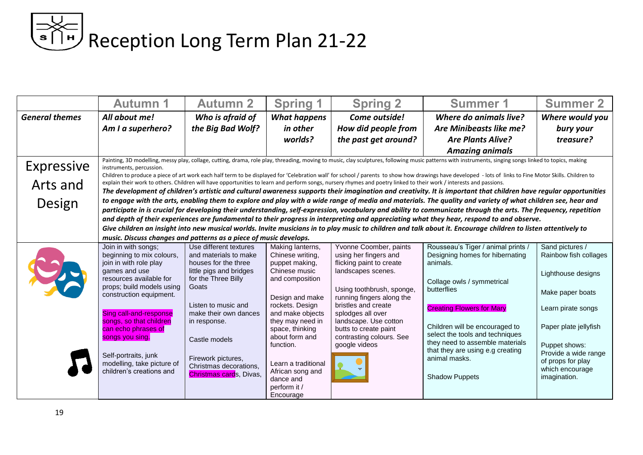# ⇒<< |<br>■ Reception Long Term Plan 21-22

|                       | <b>Autumn 1</b>                                                                                                                                                                                                                                                                                                                                                                                                                                | <b>Autumn 2</b>                                | <b>Spring 1</b>                     | <b>Spring 2</b>                                                                                                                                                     | <b>Summer 1</b>                                                                                                                                                   | <b>Summer 2</b>                      |  |  |
|-----------------------|------------------------------------------------------------------------------------------------------------------------------------------------------------------------------------------------------------------------------------------------------------------------------------------------------------------------------------------------------------------------------------------------------------------------------------------------|------------------------------------------------|-------------------------------------|---------------------------------------------------------------------------------------------------------------------------------------------------------------------|-------------------------------------------------------------------------------------------------------------------------------------------------------------------|--------------------------------------|--|--|
| <b>General themes</b> | All about me!                                                                                                                                                                                                                                                                                                                                                                                                                                  | Who is afraid of                               | <b>What happens</b>                 | Come outside!                                                                                                                                                       | <b>Where do animals live?</b>                                                                                                                                     | Where would you                      |  |  |
|                       | Am I a superhero?                                                                                                                                                                                                                                                                                                                                                                                                                              | the Big Bad Wolf?                              | in other                            | How did people from                                                                                                                                                 | Are Minibeasts like me?                                                                                                                                           | bury your                            |  |  |
|                       |                                                                                                                                                                                                                                                                                                                                                                                                                                                |                                                | worlds?                             | the past get around?                                                                                                                                                | <b>Are Plants Alive?</b>                                                                                                                                          | treasure?                            |  |  |
|                       |                                                                                                                                                                                                                                                                                                                                                                                                                                                |                                                |                                     |                                                                                                                                                                     | <b>Amazing animals</b>                                                                                                                                            |                                      |  |  |
| Expressive            | Painting, 3D modelling, messy play, collage, cutting, drama, role play, threading, moving to music, clay sculptures, following music patterns with instruments, singing songs linked to topics, making<br>instruments, percussion.<br>Children to produce a piece of art work each half term to be displayed for 'Celebration wall' for school / parents to show how drawings have developed - lots of links to Fine Motor Skills. Children to |                                                |                                     |                                                                                                                                                                     |                                                                                                                                                                   |                                      |  |  |
| Arts and              |                                                                                                                                                                                                                                                                                                                                                                                                                                                |                                                |                                     | explain their work to others. Children will have opportunities to learn and perform songs, nursery rhymes and poetry linked to their work / interests and passions. |                                                                                                                                                                   |                                      |  |  |
|                       |                                                                                                                                                                                                                                                                                                                                                                                                                                                |                                                |                                     |                                                                                                                                                                     | The development of children's artistic and cultural awareness supports their imagination and creativity. It is important that children have regular opportunities |                                      |  |  |
| Design                |                                                                                                                                                                                                                                                                                                                                                                                                                                                |                                                |                                     |                                                                                                                                                                     | to engage with the arts, enabling them to explore and play with a wide range of media and materials. The quality and variety of what children see, hear and       |                                      |  |  |
|                       |                                                                                                                                                                                                                                                                                                                                                                                                                                                |                                                |                                     |                                                                                                                                                                     | participate in is crucial for developing their understanding, self-expression, vocabulary and ability to communicate through the arts. The frequency, repetition  |                                      |  |  |
|                       | and depth of their experiences are fundamental to their progress in interpreting and appreciating what they hear, respond to and observe.                                                                                                                                                                                                                                                                                                      |                                                |                                     |                                                                                                                                                                     |                                                                                                                                                                   |                                      |  |  |
|                       | Give children an insight into new musical worlds. Invite musicians in to play music to children and talk about it. Encourage children to listen attentively to<br>music. Discuss changes and patterns as a piece of music develops.                                                                                                                                                                                                            |                                                |                                     |                                                                                                                                                                     |                                                                                                                                                                   |                                      |  |  |
|                       | Join in with songs;                                                                                                                                                                                                                                                                                                                                                                                                                            | Use different textures                         | Making lanterns,                    | Yvonne Coomber, paints                                                                                                                                              | Rousseau's Tiger / animal prints /                                                                                                                                | Sand pictures /                      |  |  |
|                       | beginning to mix colours,                                                                                                                                                                                                                                                                                                                                                                                                                      | and materials to make                          | Chinese writing,                    | using her fingers and                                                                                                                                               | Designing homes for hibernating                                                                                                                                   | Rainbow fish collages                |  |  |
|                       | join in with role play                                                                                                                                                                                                                                                                                                                                                                                                                         | houses for the three                           | puppet making,                      | flicking paint to create                                                                                                                                            | animals.                                                                                                                                                          |                                      |  |  |
|                       | games and use<br>resources available for                                                                                                                                                                                                                                                                                                                                                                                                       | little pigs and bridges<br>for the Three Billy | Chinese music<br>and composition    | landscapes scenes.                                                                                                                                                  |                                                                                                                                                                   | Lighthouse designs                   |  |  |
|                       | props; build models using                                                                                                                                                                                                                                                                                                                                                                                                                      | Goats                                          |                                     | Using toothbrush, sponge,                                                                                                                                           | Collage owls / symmetrical<br>butterflies                                                                                                                         |                                      |  |  |
|                       | construction equipment.                                                                                                                                                                                                                                                                                                                                                                                                                        |                                                | Design and make                     | running fingers along the                                                                                                                                           |                                                                                                                                                                   | Make paper boats                     |  |  |
|                       |                                                                                                                                                                                                                                                                                                                                                                                                                                                | Listen to music and                            | rockets. Design                     | bristles and create                                                                                                                                                 | <b>Creating Flowers for Mary</b>                                                                                                                                  | Learn pirate songs                   |  |  |
|                       | Sing call-and-response                                                                                                                                                                                                                                                                                                                                                                                                                         | make their own dances                          | and make objects                    | splodges all over                                                                                                                                                   |                                                                                                                                                                   |                                      |  |  |
|                       | songs, so that children<br>can echo phrases of                                                                                                                                                                                                                                                                                                                                                                                                 | in response.                                   | they may need in<br>space, thinking | landscape. Use cotton<br>butts to create paint                                                                                                                      | Children will be encouraged to                                                                                                                                    | Paper plate jellyfish                |  |  |
|                       | songs you sing.                                                                                                                                                                                                                                                                                                                                                                                                                                |                                                | about form and                      | contrasting colours. See                                                                                                                                            | select the tools and techniques                                                                                                                                   |                                      |  |  |
|                       |                                                                                                                                                                                                                                                                                                                                                                                                                                                | Castle models                                  | function.                           | google videos                                                                                                                                                       | they need to assemble materials                                                                                                                                   | Puppet shows:                        |  |  |
|                       | Self-portraits, junk                                                                                                                                                                                                                                                                                                                                                                                                                           | Firework pictures,                             |                                     |                                                                                                                                                                     | that they are using e.g creating<br>animal masks.                                                                                                                 | Provide a wide range                 |  |  |
|                       | modelling, take picture of                                                                                                                                                                                                                                                                                                                                                                                                                     | Christmas decorations,                         | Learn a traditional                 |                                                                                                                                                                     |                                                                                                                                                                   | of props for play<br>which encourage |  |  |
|                       | children's creations and                                                                                                                                                                                                                                                                                                                                                                                                                       | Christmas cards, Divas,                        | African song and<br>dance and       |                                                                                                                                                                     | <b>Shadow Puppets</b>                                                                                                                                             | imagination.                         |  |  |
|                       |                                                                                                                                                                                                                                                                                                                                                                                                                                                |                                                | perform it /                        |                                                                                                                                                                     |                                                                                                                                                                   |                                      |  |  |
|                       |                                                                                                                                                                                                                                                                                                                                                                                                                                                |                                                | Encourage                           |                                                                                                                                                                     |                                                                                                                                                                   |                                      |  |  |